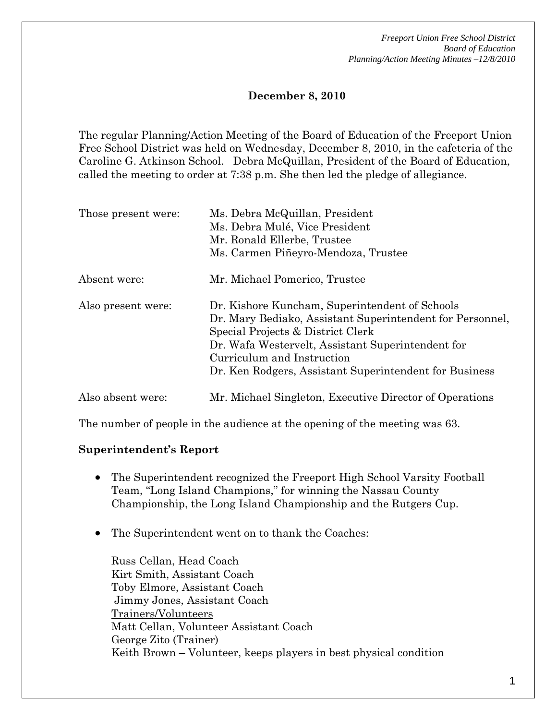*Freeport Union Free School District Board of Education Planning/Action Meeting Minutes –12/8/2010* 

### **December 8, 2010**

The regular Planning/Action Meeting of the Board of Education of the Freeport Union Free School District was held on Wednesday, December 8, 2010, in the cafeteria of the Caroline G. Atkinson School. Debra McQuillan, President of the Board of Education, called the meeting to order at 7:38 p.m. She then led the pledge of allegiance.

| Those present were: | Ms. Debra McQuillan, President<br>Ms. Debra Mulé, Vice President<br>Mr. Ronald Ellerbe, Trustee<br>Ms. Carmen Piñeyro-Mendoza, Trustee                                                                                                                                                        |
|---------------------|-----------------------------------------------------------------------------------------------------------------------------------------------------------------------------------------------------------------------------------------------------------------------------------------------|
| Absent were:        | Mr. Michael Pomerico, Trustee                                                                                                                                                                                                                                                                 |
| Also present were:  | Dr. Kishore Kuncham, Superintendent of Schools<br>Dr. Mary Bediako, Assistant Superintendent for Personnel,<br>Special Projects & District Clerk<br>Dr. Wafa Westervelt, Assistant Superintendent for<br>Curriculum and Instruction<br>Dr. Ken Rodgers, Assistant Superintendent for Business |
| Also absent were:   | Mr. Michael Singleton, Executive Director of Operations                                                                                                                                                                                                                                       |

The number of people in the audience at the opening of the meeting was 63.

#### **Superintendent's Report**

- The Superintendent recognized the Freeport High School Varsity Football Team, "Long Island Champions," for winning the Nassau County Championship, the Long Island Championship and the Rutgers Cup.
- The Superintendent went on to thank the Coaches:

Russ Cellan, Head Coach Kirt Smith, Assistant Coach Toby Elmore, Assistant Coach Jimmy Jones, Assistant Coach Trainers/Volunteers Matt Cellan, Volunteer Assistant Coach George Zito (Trainer) Keith Brown – Volunteer, keeps players in best physical condition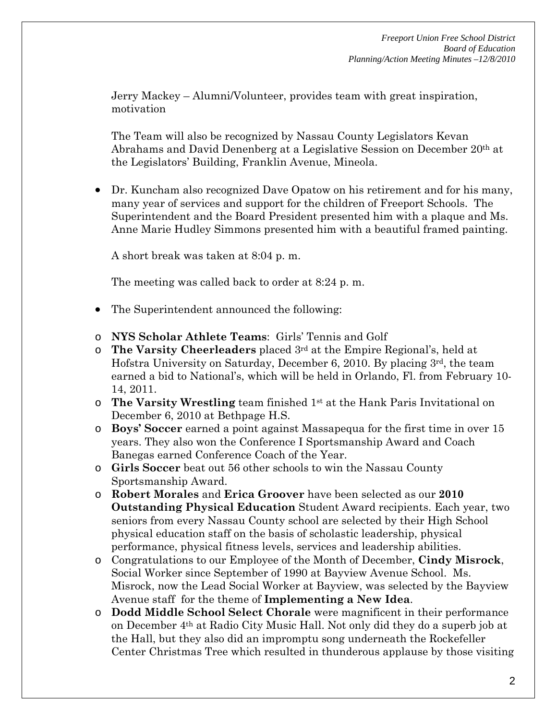Jerry Mackey – Alumni/Volunteer, provides team with great inspiration, motivation

The Team will also be recognized by Nassau County Legislators Kevan Abrahams and David Denenberg at a Legislative Session on December 20th at the Legislators' Building, Franklin Avenue, Mineola.

• Dr. Kuncham also recognized Dave Opatow on his retirement and for his many, many year of services and support for the children of Freeport Schools. The Superintendent and the Board President presented him with a plaque and Ms. Anne Marie Hudley Simmons presented him with a beautiful framed painting.

A short break was taken at 8:04 p. m.

The meeting was called back to order at 8:24 p. m.

- The Superintendent announced the following:
- o **NYS Scholar Athlete Teams**: Girls' Tennis and Golf
- o **The Varsity Cheerleaders** placed 3rd at the Empire Regional's, held at Hofstra University on Saturday, December 6, 2010. By placing 3rd, the team earned a bid to National's, which will be held in Orlando, Fl. from February 10- 14, 2011.
- o **The Varsity Wrestling** team finished 1st at the Hank Paris Invitational on December 6, 2010 at Bethpage H.S.
- o **Boys' Soccer** earned a point against Massapequa for the first time in over 15 years. They also won the Conference I Sportsmanship Award and Coach Banegas earned Conference Coach of the Year.
- o **Girls Soccer** beat out 56 other schools to win the Nassau County Sportsmanship Award.
- o **Robert Morales** and **Erica Groover** have been selected as our **2010 Outstanding Physical Education** Student Award recipients. Each year, two seniors from every Nassau County school are selected by their High School physical education staff on the basis of scholastic leadership, physical performance, physical fitness levels, services and leadership abilities.
- o Congratulations to our Employee of the Month of December, **Cindy Misrock**, Social Worker since September of 1990 at Bayview Avenue School. Ms. Misrock, now the Lead Social Worker at Bayview, was selected by the Bayview Avenue staff for the theme of **Implementing a New Idea**.
- o **Dodd Middle School Select Chorale** were magnificent in their performance on December 4th at Radio City Music Hall. Not only did they do a superb job at the Hall, but they also did an impromptu song underneath the Rockefeller Center Christmas Tree which resulted in thunderous applause by those visiting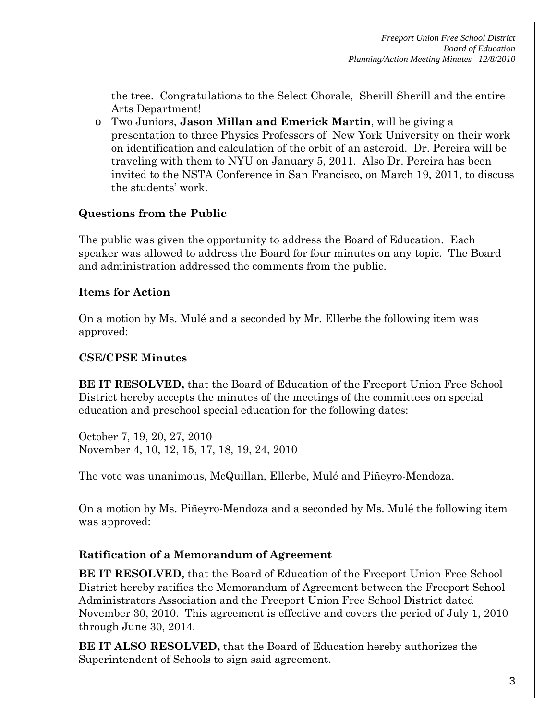the tree. Congratulations to the Select Chorale, Sherill Sherill and the entire Arts Department!

o Two Juniors, **Jason Millan and Emerick Martin**, will be giving a presentation to three Physics Professors of New York University on their work on identification and calculation of the orbit of an asteroid. Dr. Pereira will be traveling with them to NYU on January 5, 2011. Also Dr. Pereira has been invited to the NSTA Conference in San Francisco, on March 19, 2011, to discuss the students' work.

## **Questions from the Public**

The public was given the opportunity to address the Board of Education. Each speaker was allowed to address the Board for four minutes on any topic. The Board and administration addressed the comments from the public.

### **Items for Action**

On a motion by Ms. Mulé and a seconded by Mr. Ellerbe the following item was approved:

#### **CSE/CPSE Minutes**

**BE IT RESOLVED,** that the Board of Education of the Freeport Union Free School District hereby accepts the minutes of the meetings of the committees on special education and preschool special education for the following dates:

October 7, 19, 20, 27, 2010 November 4, 10, 12, 15, 17, 18, 19, 24, 2010

The vote was unanimous, McQuillan, Ellerbe, Mulé and Piñeyro-Mendoza.

On a motion by Ms. Piñeyro-Mendoza and a seconded by Ms. Mulé the following item was approved:

### **Ratification of a Memorandum of Agreement**

**BE IT RESOLVED,** that the Board of Education of the Freeport Union Free School District hereby ratifies the Memorandum of Agreement between the Freeport School Administrators Association and the Freeport Union Free School District dated November 30, 2010. This agreement is effective and covers the period of July 1, 2010 through June 30, 2014.

**BE IT ALSO RESOLVED,** that the Board of Education hereby authorizes the Superintendent of Schools to sign said agreement.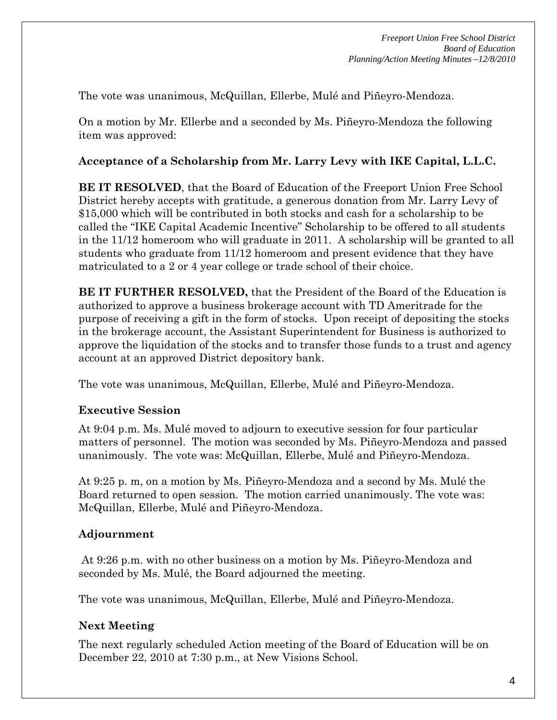The vote was unanimous, McQuillan, Ellerbe, Mulé and Piñeyro-Mendoza.

On a motion by Mr. Ellerbe and a seconded by Ms. Piñeyro-Mendoza the following item was approved:

### **Acceptance of a Scholarship from Mr. Larry Levy with IKE Capital, L.L.C.**

**BE IT RESOLVED**, that the Board of Education of the Freeport Union Free School District hereby accepts with gratitude, a generous donation from Mr. Larry Levy of \$15,000 which will be contributed in both stocks and cash for a scholarship to be called the "IKE Capital Academic Incentive" Scholarship to be offered to all students in the 11/12 homeroom who will graduate in 2011. A scholarship will be granted to all students who graduate from 11/12 homeroom and present evidence that they have matriculated to a 2 or 4 year college or trade school of their choice.

**BE IT FURTHER RESOLVED,** that the President of the Board of the Education is authorized to approve a business brokerage account with TD Ameritrade for the purpose of receiving a gift in the form of stocks. Upon receipt of depositing the stocks in the brokerage account, the Assistant Superintendent for Business is authorized to approve the liquidation of the stocks and to transfer those funds to a trust and agency account at an approved District depository bank.

The vote was unanimous, McQuillan, Ellerbe, Mulé and Piñeyro-Mendoza.

### **Executive Session**

At 9:04 p.m. Ms. Mulé moved to adjourn to executive session for four particular matters of personnel. The motion was seconded by Ms. Piñeyro-Mendoza and passed unanimously. The vote was: McQuillan, Ellerbe, Mulé and Piñeyro-Mendoza.

At 9:25 p. m, on a motion by Ms. Piñeyro-Mendoza and a second by Ms. Mulé the Board returned to open session. The motion carried unanimously. The vote was: McQuillan, Ellerbe, Mulé and Piñeyro-Mendoza.

# **Adjournment**

 At 9:26 p.m. with no other business on a motion by Ms. Piñeyro-Mendoza and seconded by Ms. Mulé, the Board adjourned the meeting.

The vote was unanimous, McQuillan, Ellerbe, Mulé and Piñeyro-Mendoza.

# **Next Meeting**

The next regularly scheduled Action meeting of the Board of Education will be on December 22, 2010 at 7:30 p.m., at New Visions School.